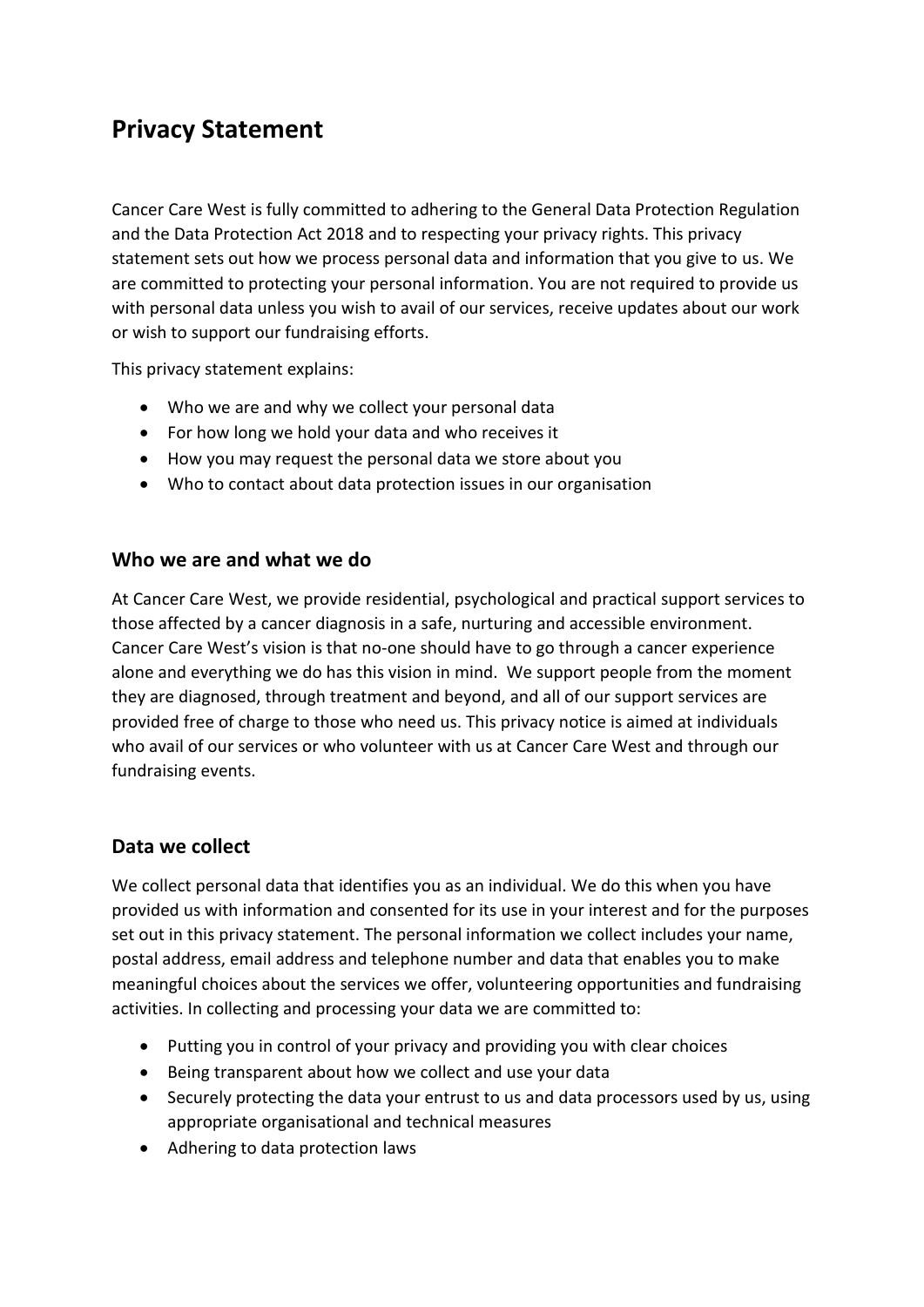# **Privacy Statement**

Cancer Care West is fully committed to adhering to the General Data Protection Regulation and the Data Protection Act 2018 and to respecting your privacy rights. This privacy statement sets out how we process personal data and information that you give to us. We are committed to protecting your personal information. You are not required to provide us with personal data unless you wish to avail of our services, receive updates about our work or wish to support our fundraising efforts.

This privacy statement explains:

- Who we are and why we collect your personal data
- For how long we hold your data and who receives it
- How you may request the personal data we store about you
- Who to contact about data protection issues in our organisation

#### **Who we are and what we do**

At Cancer Care West, we provide residential, psychological and practical support services to those affected by a cancer diagnosis in a safe, nurturing and accessible environment. Cancer Care West's vision is that no-one should have to go through a cancer experience alone and everything we do has this vision in mind. We support people from the moment they are diagnosed, through treatment and beyond, and all of our support services are provided free of charge to those who need us. This privacy notice is aimed at individuals who avail of our services or who volunteer with us at Cancer Care West and through our fundraising events.

#### **Data we collect**

We collect personal data that identifies you as an individual. We do this when you have provided us with information and consented for its use in your interest and for the purposes set out in this privacy statement. The personal information we collect includes your name, postal address, email address and telephone number and data that enables you to make meaningful choices about the services we offer, volunteering opportunities and fundraising activities. In collecting and processing your data we are committed to:

- Putting you in control of your privacy and providing you with clear choices
- Being transparent about how we collect and use your data
- Securely protecting the data your entrust to us and data processors used by us, using appropriate organisational and technical measures
- Adhering to data protection laws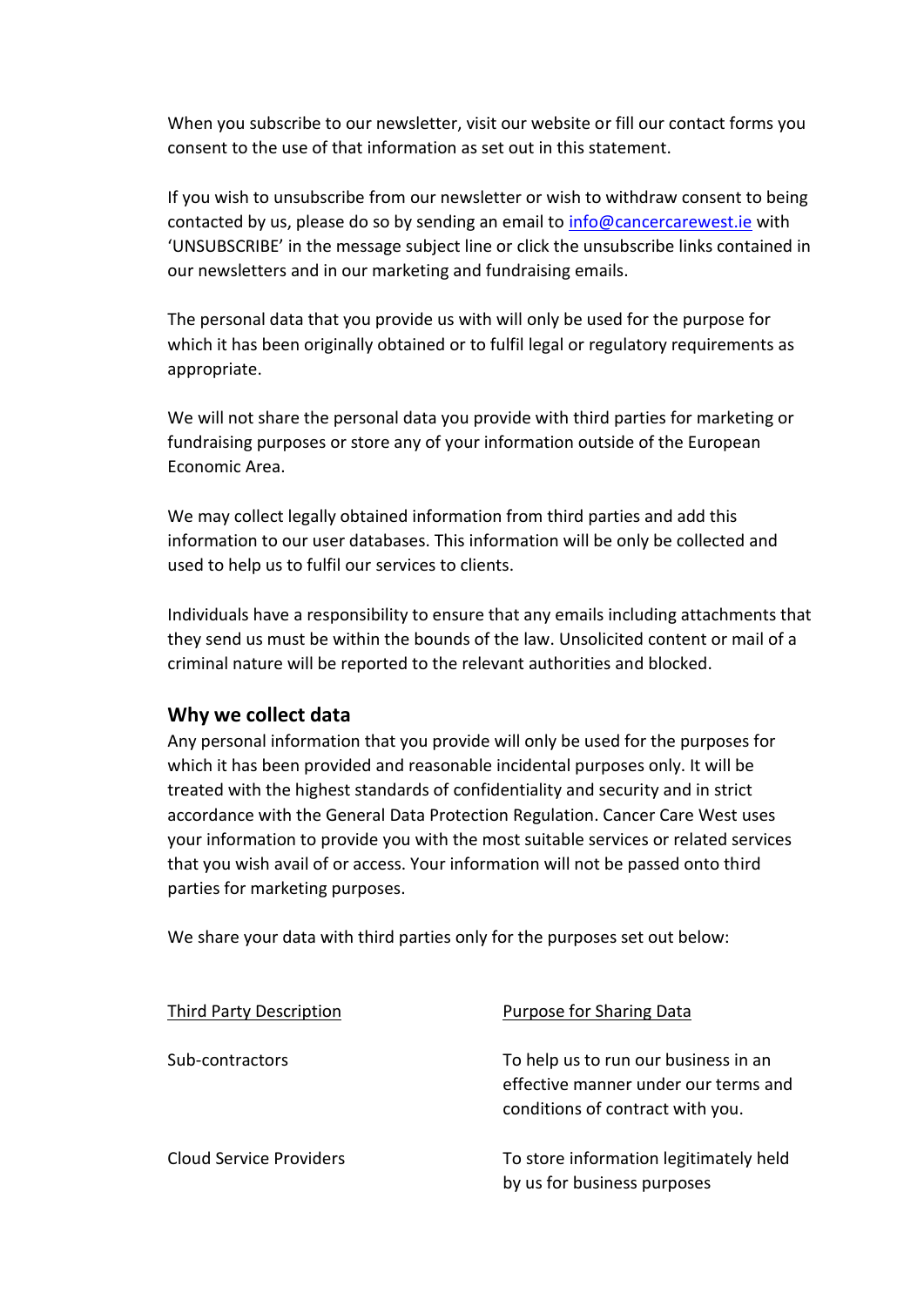When you subscribe to our newsletter, visit our website or fill our contact forms you consent to the use of that information as set out in this statement.

If you wish to unsubscribe from our newsletter or wish to withdraw consent to being contacted by us, please do so by sending an email to [info@cancercarewest.ie](mailto:info@cancercarewest.ie) with 'UNSUBSCRIBE' in the message subject line or click the unsubscribe links contained in our newsletters and in our marketing and fundraising emails.

The personal data that you provide us with will only be used for the purpose for which it has been originally obtained or to fulfil legal or regulatory requirements as appropriate.

We will not share the personal data you provide with third parties for marketing or fundraising purposes or store any of your information outside of the European Economic Area.

We may collect legally obtained information from third parties and add this information to our user databases. This information will be only be collected and used to help us to fulfil our services to clients.

Individuals have a responsibility to ensure that any emails including attachments that they send us must be within the bounds of the law. Unsolicited content or mail of a criminal nature will be reported to the relevant authorities and blocked.

#### **Why we collect data**

Any personal information that you provide will only be used for the purposes for which it has been provided and reasonable incidental purposes only. It will be treated with the highest standards of confidentiality and security and in strict accordance with the General Data Protection Regulation. Cancer Care West uses your information to provide you with the most suitable services or related services that you wish avail of or access. Your information will not be passed onto third parties for marketing purposes.

We share your data with third parties only for the purposes set out below:

| Third Party Description | Purpose for Sharing Data                                                                                         |
|-------------------------|------------------------------------------------------------------------------------------------------------------|
| Sub-contractors         | To help us to run our business in an<br>effective manner under our terms and<br>conditions of contract with you. |
| Cloud Service Providers | To store information legitimately held<br>by us for business purposes                                            |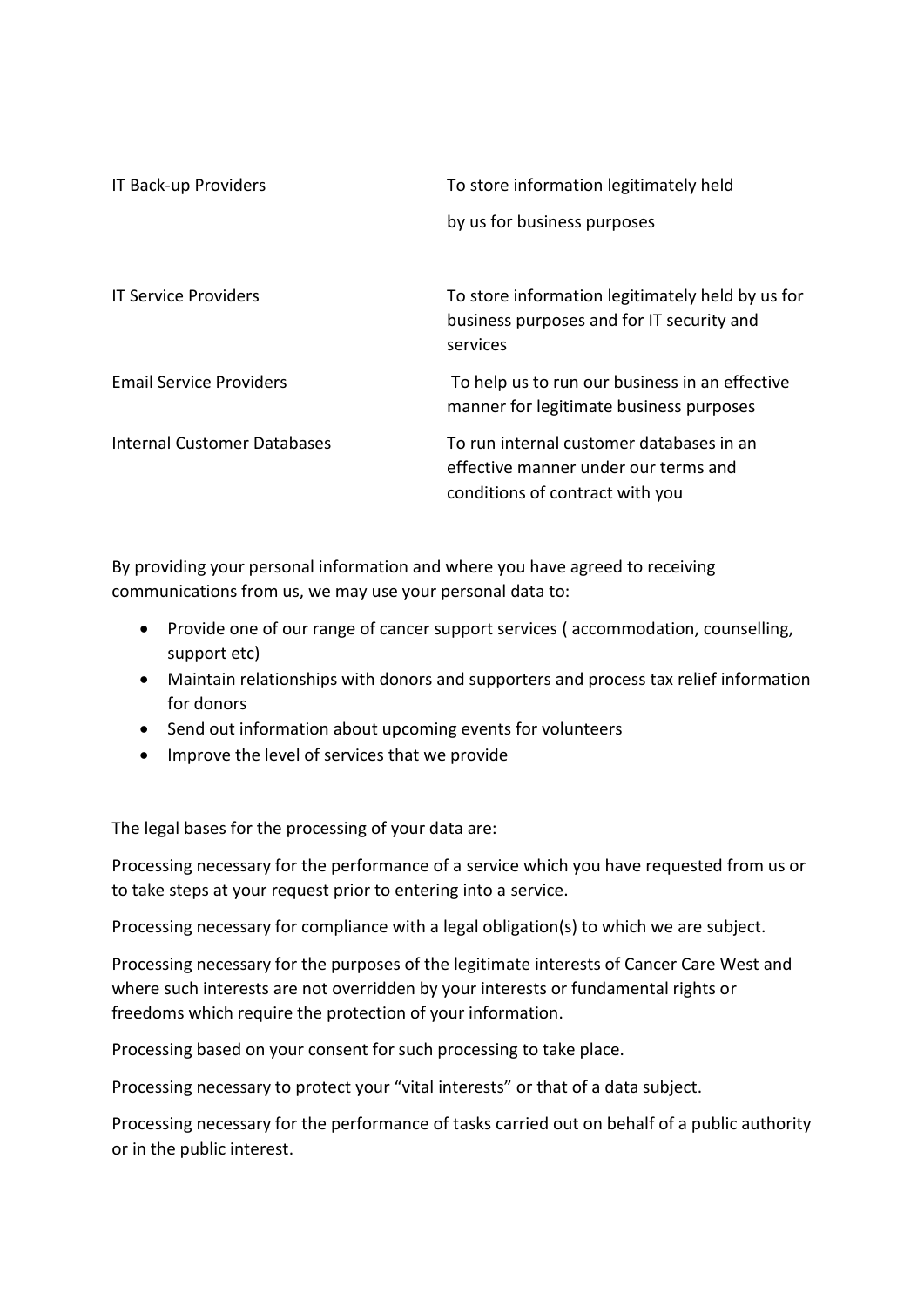| IT Back-up Providers               | To store information legitimately held                                                                              |
|------------------------------------|---------------------------------------------------------------------------------------------------------------------|
|                                    | by us for business purposes                                                                                         |
| <b>IT Service Providers</b>        | To store information legitimately held by us for<br>business purposes and for IT security and<br>services           |
| <b>Email Service Providers</b>     | To help us to run our business in an effective<br>manner for legitimate business purposes                           |
| <b>Internal Customer Databases</b> | To run internal customer databases in an<br>effective manner under our terms and<br>conditions of contract with you |

By providing your personal information and where you have agreed to receiving communications from us, we may use your personal data to:

- Provide one of our range of cancer support services ( accommodation, counselling, support etc)
- Maintain relationships with donors and supporters and process tax relief information for donors
- Send out information about upcoming events for volunteers
- Improve the level of services that we provide

The legal bases for the processing of your data are:

Processing necessary for the performance of a service which you have requested from us or to take steps at your request prior to entering into a service.

Processing necessary for compliance with a legal obligation(s) to which we are subject.

Processing necessary for the purposes of the legitimate interests of Cancer Care West and where such interests are not overridden by your interests or fundamental rights or freedoms which require the protection of your information.

Processing based on your consent for such processing to take place.

Processing necessary to protect your "vital interests" or that of a data subject.

Processing necessary for the performance of tasks carried out on behalf of a public authority or in the public interest.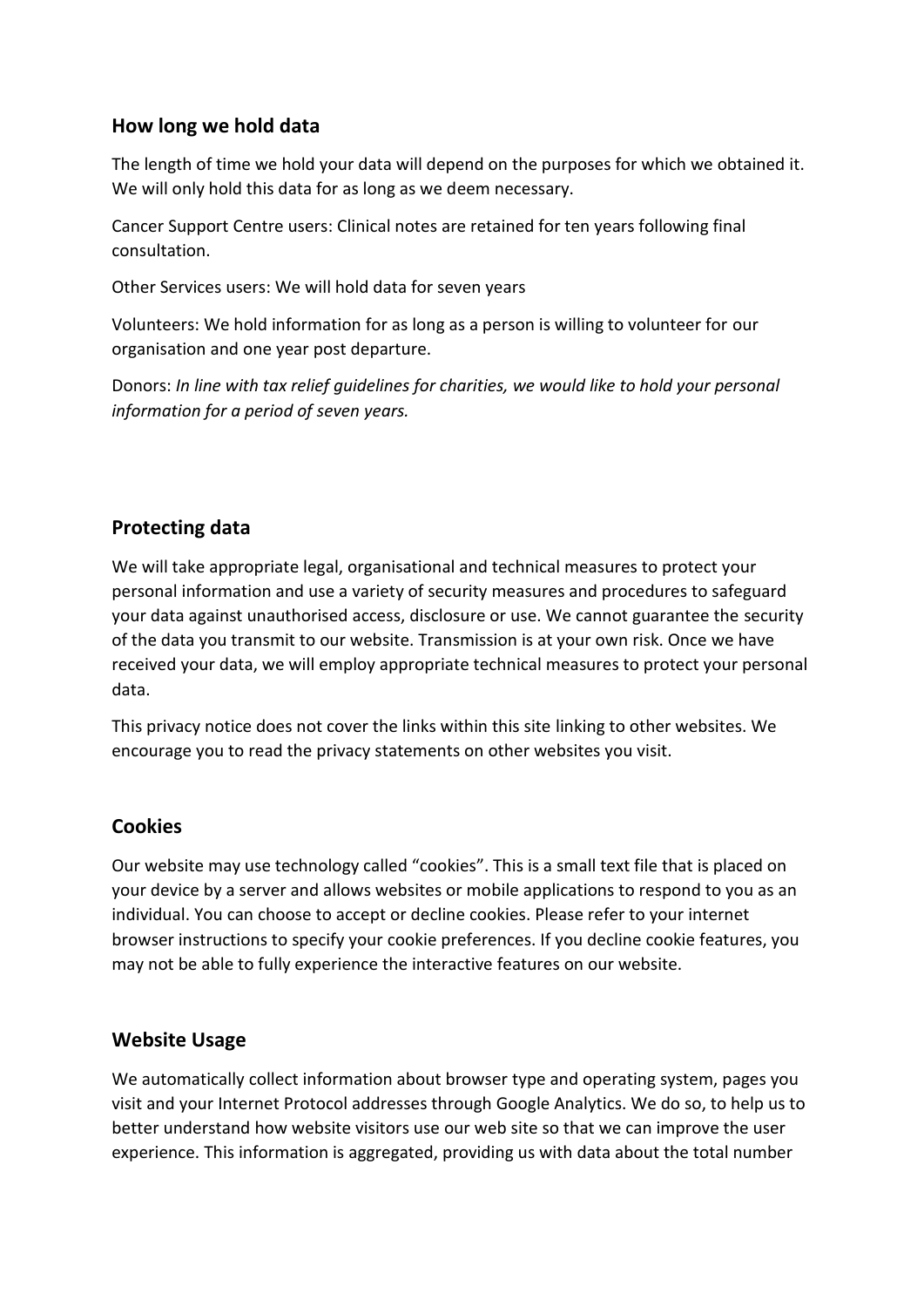### **How long we hold data**

The length of time we hold your data will depend on the purposes for which we obtained it. We will only hold this data for as long as we deem necessary.

Cancer Support Centre users: Clinical notes are retained for ten years following final consultation.

Other Services users: We will hold data for seven years

Volunteers: We hold information for as long as a person is willing to volunteer for our organisation and one year post departure.

Donors: *In line with tax relief guidelines for charities, we would like to hold your personal information for a period of seven years.*

# **Protecting data**

We will take appropriate legal, organisational and technical measures to protect your personal information and use a variety of security measures and procedures to safeguard your data against unauthorised access, disclosure or use. We cannot guarantee the security of the data you transmit to our website. Transmission is at your own risk. Once we have received your data, we will employ appropriate technical measures to protect your personal data.

This privacy notice does not cover the links within this site linking to other websites. We encourage you to read the privacy statements on other websites you visit.

# **Cookies**

Our website may use technology called "cookies". This is a small text file that is placed on your device by a server and allows websites or mobile applications to respond to you as an individual. You can choose to accept or decline cookies. Please refer to your internet browser instructions to specify your cookie preferences. If you decline cookie features, you may not be able to fully experience the interactive features on our website.

# **Website Usage**

We automatically collect information about browser type and operating system, pages you visit and your Internet Protocol addresses through Google Analytics. We do so, to help us to better understand how website visitors use our web site so that we can improve the user experience. This information is aggregated, providing us with data about the total number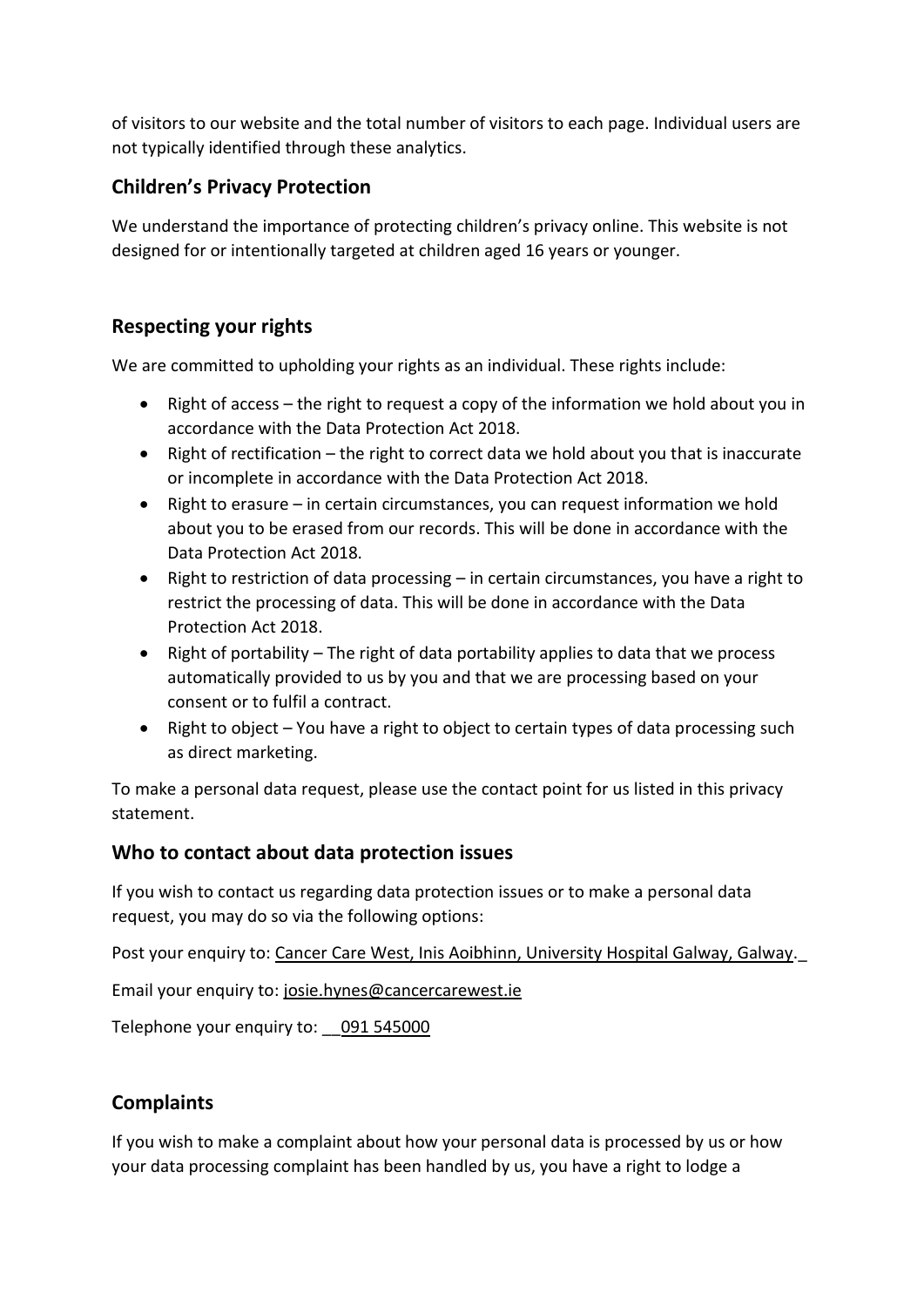of visitors to our website and the total number of visitors to each page. Individual users are not typically identified through these analytics.

## **Children's Privacy Protection**

We understand the importance of protecting children's privacy online. This website is not designed for or intentionally targeted at children aged 16 years or younger.

## **Respecting your rights**

We are committed to upholding your rights as an individual. These rights include:

- Right of access the right to request a copy of the information we hold about you in accordance with the Data Protection Act 2018.
- Right of rectification the right to correct data we hold about you that is inaccurate or incomplete in accordance with the Data Protection Act 2018.
- Right to erasure in certain circumstances, you can request information we hold about you to be erased from our records. This will be done in accordance with the Data Protection Act 2018.
- Right to restriction of data processing in certain circumstances, you have a right to restrict the processing of data. This will be done in accordance with the Data Protection Act 2018.
- Right of portability The right of data portability applies to data that we process automatically provided to us by you and that we are processing based on your consent or to fulfil a contract.
- Right to object You have a right to object to certain types of data processing such as direct marketing.

To make a personal data request, please use the contact point for us listed in this privacy statement.

#### **Who to contact about data protection issues**

If you wish to contact us regarding data protection issues or to make a personal data request, you may do so via the following options:

Post your enquiry to: Cancer Care West, Inis Aoibhinn, University Hospital Galway, Galway.

Email your enquiry to: josie.hynes@cancercarewest.ie

Telephone your enquiry to: 091 545000

# **Complaints**

If you wish to make a complaint about how your personal data is processed by us or how your data processing complaint has been handled by us, you have a right to lodge a